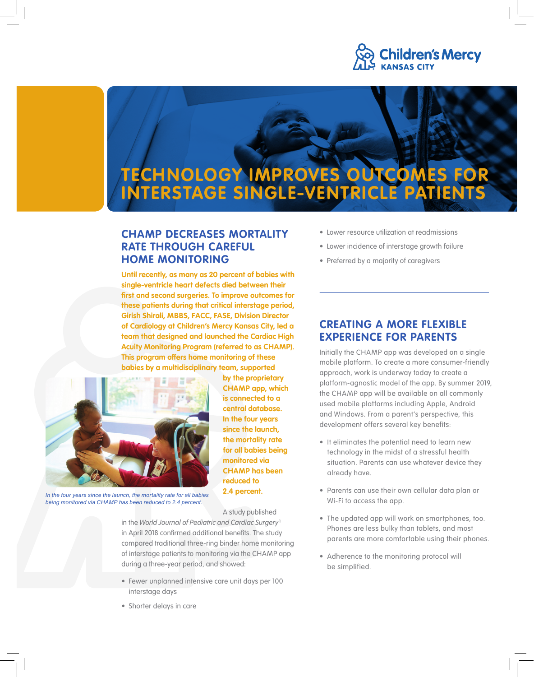

# **TECHNOLOGY IMPROVES OUTCOMES FOR INTERSTAGE SINGLE-VENTRICLE PATIENTS**

## **CHAMP DECREASES MORTALITY RATE THROUGH CAREFUL HOME MONITORING**

**Until recently, as many as 20 percent of babies with single-ventricle heart defects died between their first and second surgeries. To improve outcomes for these patients during that critical interstage period, Girish Shirali, MBBS, FACC, FASE, Division Director of Cardiology at Children's Mercy Kansas City, led a team that designed and launched the Cardiac High Acuity Monitoring Program (referred to as CHAMP). This program offers home monitoring of these babies by a multidisciplinary team, supported** 



**central database. In the four years since the launch, the mortality rate for all babies being monitored via CHAMP has been reduced to 2.4 percent.** 

A study published

**by the proprietary CHAMP app, which is connected to a** 

*In the four years since the launch, the mortality rate for all babies being monitored via CHAMP has been reduced to 2.4 percent.*

in the *World Journal of Pediatric and Cardiac Surgery*<sup>1</sup> in April 2018 confirmed additional benefits. The study compared traditional three-ring binder home monitoring of interstage patients to monitoring via the CHAMP app during a three-year period, and showed:

- Fewer unplanned intensive care unit days per 100 interstage days
- Shorter delays in care
- Lower resource utilization at readmissions
- Lower incidence of interstage growth failure
- Preferred by a majority of caregivers

## **CREATING A MORE FLEXIBLE EXPERIENCE FOR PARENTS**

Initially the CHAMP app was developed on a single mobile platform. To create a more consumer-friendly approach, work is underway today to create a platform-agnostic model of the app. By summer 2019, the CHAMP app will be available on all commonly used mobile platforms including Apple, Android and Windows. From a parent's perspective, this development offers several key benefits:

- It eliminates the potential need to learn new technology in the midst of a stressful health situation. Parents can use whatever device they already have.
- Parents can use their own cellular data plan or Wi-Fi to access the app.
- The updated app will work on smartphones, too. Phones are less bulky than tablets, and most parents are more comfortable using their phones.
- Adherence to the monitoring protocol will be simplified.